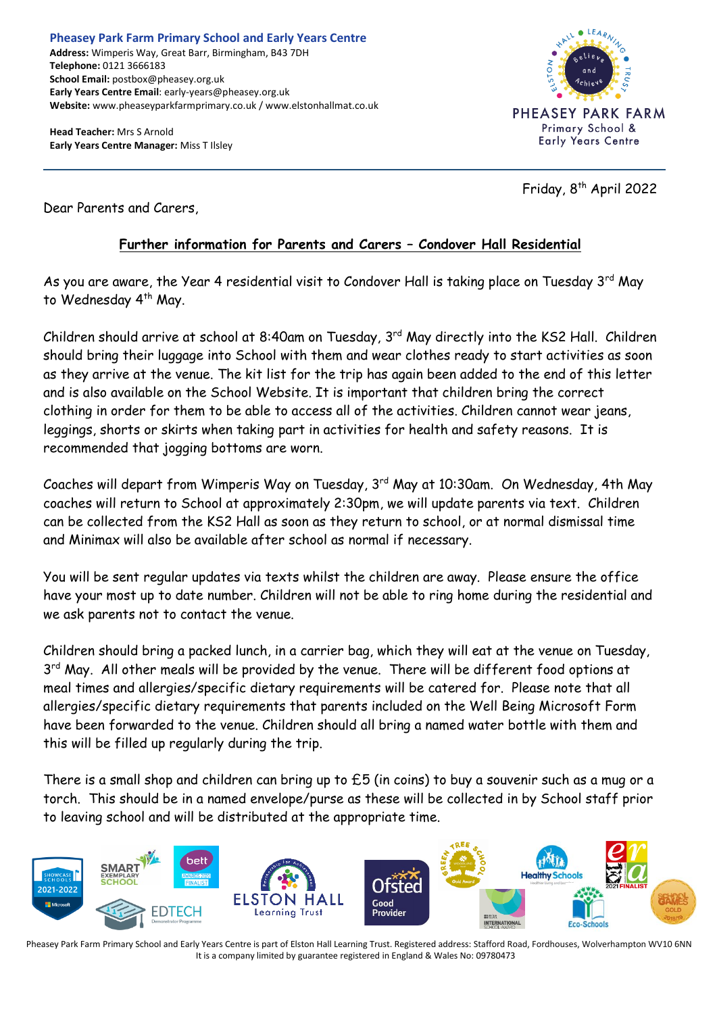**Head Teacher:** Mrs S Arnold **Early Years Centre Manager:** Miss T Ilsley



Friday, 8<sup>th</sup> April 2022

Dear Parents and Carers,

# **Further information for Parents and Carers – Condover Hall Residential**

As you are aware, the Year 4 residential visit to Condover Hall is taking place on Tuesday 3<sup>rd</sup> May to Wednesday 4<sup>th</sup> May.

Children should arrive at school at 8:40am on Tuesday, 3<sup>rd</sup> May directly into the KS2 Hall. *C*hildren should bring their luggage into School with them and wear clothes ready to start activities as soon as they arrive at the venue. The kit list for the trip has again been added to the end of this letter and is also available on the School Website. It is important that children bring the correct clothing in order for them to be able to access all of the activities. Children cannot wear jeans, leggings, shorts or skirts when taking part in activities for health and safety reasons. It is recommended that jogging bottoms are worn.

Coaches will depart from Wimperis Way on Tuesday, 3rd May at 10:30am. On Wednesday, 4th May coaches will return to School at approximately 2:30pm, we will update parents via text. Children can be collected from the KS2 Hall as soon as they return to school, or at normal dismissal time and Minimax will also be available after school as normal if necessary.

You will be sent regular updates via texts whilst the children are away. Please ensure the office have your most up to date number. Children will not be able to ring home during the residential and we ask parents not to contact the venue.

Children should bring a packed lunch, in a carrier bag, which they will eat at the venue on Tuesday, 3<sup>rd</sup> May. All other meals will be provided by the venue. There will be different food options at meal times and allergies/specific dietary requirements will be catered for. Please note that all allergies/specific dietary requirements that parents included on the Well Being Microsoft Form have been forwarded to the venue. Children should all bring a named water bottle with them and this will be filled up regularly during the trip.

There is a small shop and children can bring up to £5 (in coins) to buy a souvenir such as a mug or a torch. This should be in a named envelope/purse as these will be collected in by School staff prior to leaving school and will be distributed at the appropriate time.



Pheasey Park Farm Primary School and Early Years Centre is part of Elston Hall Learning Trust. Registered address: Stafford Road, Fordhouses, Wolverhampton WV10 6NN It is a company limited by guarantee registered in England & Wales No: 09780473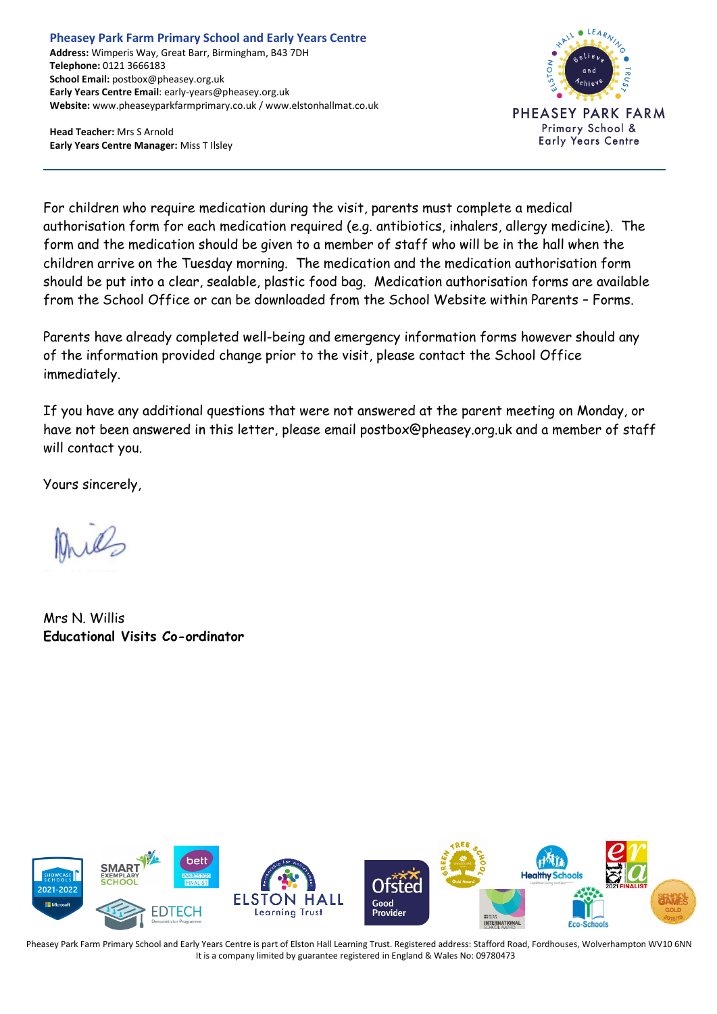#### **Pheasey Park Farm Primary School and Early Years Centre Address:** Wimperis Way, Great Barr, Birmingham, B43 7DH **Telephone:** 0121 3666183 **School Email:** postbox@pheasey.org.uk **Early Years Centre Email**: early-years@pheasey.org.uk **Website:** www.pheaseyparkfarmprimary.co.uk / www.elstonhallmat.co.uk

**Head Teacher:** Mrs S Arnold **Early Years Centre Manager:** Miss T Ilsley



For children who require medication during the visit, parents must complete a medical authorisation form for each medication required (e.g. antibiotics, inhalers, allergy medicine). The form and the medication should be given to a member of staff who will be in the hall when the children arrive on the Tuesday morning. The medication and the medication authorisation form should be put into a clear, sealable, plastic food bag. Medication authorisation forms are available from the School Office or can be downloaded from the School Website within Parents – Forms.

Parents have already completed well-being and emergency information forms however should any of the information provided change prior to the visit, please contact the School Office immediately.

If you have any additional questions that were not answered at the parent meeting on Monday, or have not been answered in this letter, please email postbox@pheasey.org.uk and a member of staff will contact you.

Yours sincerely,

Mrs N. Willis **Educational Visits Co-ordinator**



Pheasey Park Farm Primary School and Early Years Centre is part of Elston Hall Learning Trust. Registered address: Stafford Road, Fordhouses, Wolverhampton WV10 6NN It is a company limited by guarantee registered in England & Wales No: 09780473